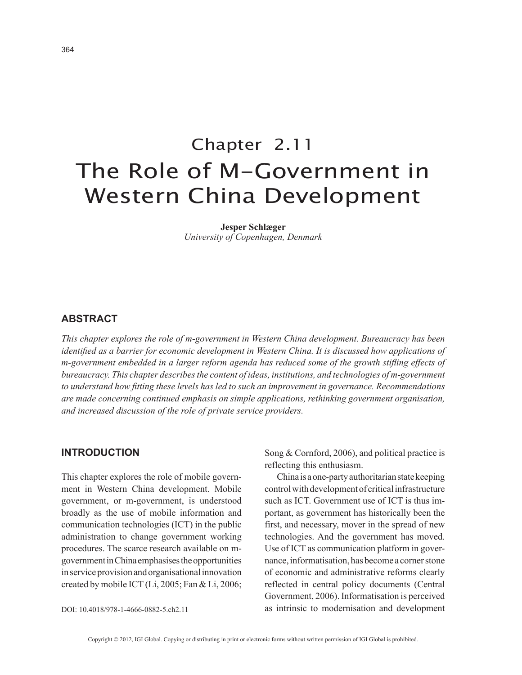# Chapter 2.11 The Role of M-Government in Western China Development

**Jesper Schlæger** *University of Copenhagen, Denmark*

## **ABSTRACT**

*This chapter explores the role of m-government in Western China development. Bureaucracy has been identified as a barrier for economic development in Western China. It is discussed how applications of m-government embedded in a larger reform agenda has reduced some of the growth stifling effects of bureaucracy. This chapter describes the content of ideas, institutions, and technologies of m-government to understand how fitting these levels has led to such an improvement in governance. Recommendations are made concerning continued emphasis on simple applications, rethinking government organisation, and increased discussion of the role of private service providers.*

#### **INTRODUCTION**

This chapter explores the role of mobile government in Western China development. Mobile government, or m-government, is understood broadly as the use of mobile information and communication technologies (ICT) in the public administration to change government working procedures. The scarce research available on mgovernment in China emphasises the opportunities in service provision and organisational innovation created by mobile ICT (Li, 2005; Fan & Li, 2006; Song & Cornford, 2006), and political practice is reflecting this enthusiasm.

China is a one-party authoritarian state keeping control with development of critical infrastructure such as ICT. Government use of ICT is thus important, as government has historically been the first, and necessary, mover in the spread of new technologies. And the government has moved. Use of ICT as communication platform in governance, informatisation, has become a corner stone of economic and administrative reforms clearly reflected in central policy documents (Central Government, 2006). Informatisation is perceived as intrinsic to modernisation and development

DOI: 10.4018/978-1-4666-0882-5.ch2.11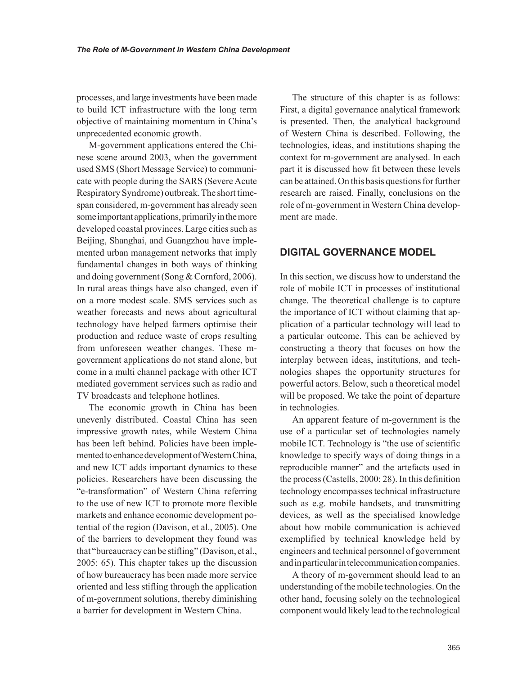processes, and large investments have been made to build ICT infrastructure with the long term objective of maintaining momentum in China's unprecedented economic growth.

M-government applications entered the Chinese scene around 2003, when the government used SMS (Short Message Service) to communicate with people during the SARS (Severe Acute Respiratory Syndrome) outbreak. The short timespan considered, m-government has already seen some important applications, primarily in the more developed coastal provinces. Large cities such as Beijing, Shanghai, and Guangzhou have implemented urban management networks that imply fundamental changes in both ways of thinking and doing government (Song & Cornford, 2006). In rural areas things have also changed, even if on a more modest scale. SMS services such as weather forecasts and news about agricultural technology have helped farmers optimise their production and reduce waste of crops resulting from unforeseen weather changes. These mgovernment applications do not stand alone, but come in a multi channel package with other ICT mediated government services such as radio and TV broadcasts and telephone hotlines.

The economic growth in China has been unevenly distributed. Coastal China has seen impressive growth rates, while Western China has been left behind. Policies have been implemented to enhance development of Western China, and new ICT adds important dynamics to these policies. Researchers have been discussing the "e-transformation" of Western China referring to the use of new ICT to promote more flexible markets and enhance economic development potential of the region (Davison, et al., 2005). One of the barriers to development they found was that "bureaucracy can be stifling" (Davison, et al., 2005: 65). This chapter takes up the discussion of how bureaucracy has been made more service oriented and less stifling through the application of m-government solutions, thereby diminishing a barrier for development in Western China.

The structure of this chapter is as follows: First, a digital governance analytical framework is presented. Then, the analytical background of Western China is described. Following, the technologies, ideas, and institutions shaping the context for m-government are analysed. In each part it is discussed how fit between these levels can be attained. On this basis questions for further research are raised. Finally, conclusions on the role of m-government in Western China development are made.

## **DIGITAL GOVERNANCE MODEL**

In this section, we discuss how to understand the role of mobile ICT in processes of institutional change. The theoretical challenge is to capture the importance of ICT without claiming that application of a particular technology will lead to a particular outcome. This can be achieved by constructing a theory that focuses on how the interplay between ideas, institutions, and technologies shapes the opportunity structures for powerful actors. Below, such a theoretical model will be proposed. We take the point of departure in technologies.

An apparent feature of m-government is the use of a particular set of technologies namely mobile ICT. Technology is "the use of scientific knowledge to specify ways of doing things in a reproducible manner" and the artefacts used in the process (Castells, 2000: 28). In this definition technology encompasses technical infrastructure such as e.g. mobile handsets, and transmitting devices, as well as the specialised knowledge about how mobile communication is achieved exemplified by technical knowledge held by engineers and technical personnel of government and in particular in telecommunication companies.

A theory of m-government should lead to an understanding of the mobile technologies. On the other hand, focusing solely on the technological component would likely lead to the technological